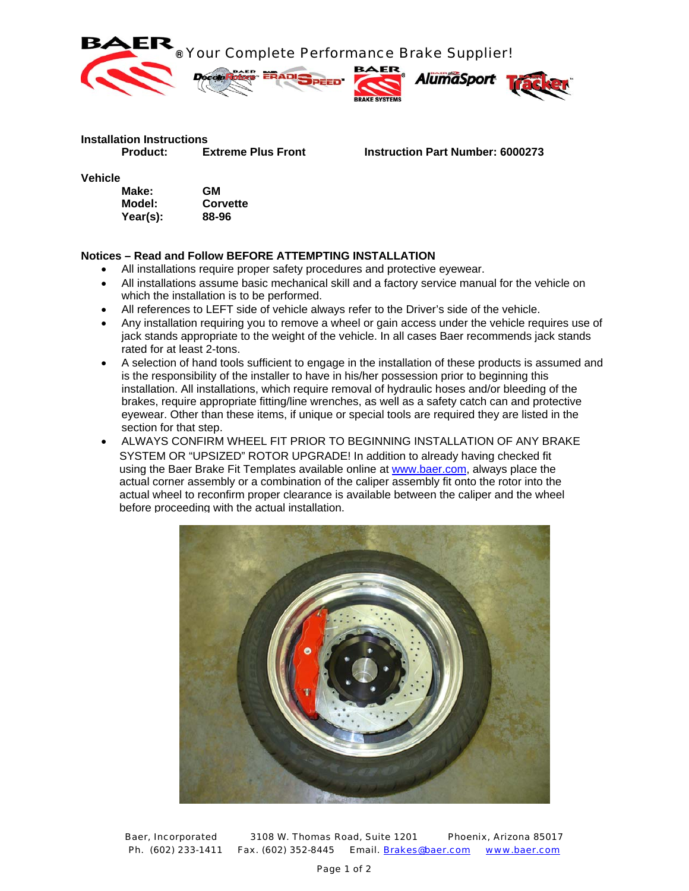

## **Installation Instructions**

 **Product: Extreme Plus Front Instruction Part Number: 6000273**

**Vehicle** 

| Make:    | GМ       |
|----------|----------|
| Model:   | Corvette |
| Year(s): | 88-96    |

## **Notices – Read and Follow BEFORE ATTEMPTING INSTALLATION**

- All installations require proper safety procedures and protective eyewear.
- All installations assume basic mechanical skill and a factory service manual for the vehicle on which the installation is to be performed.
- All references to LEFT side of vehicle always refer to the Driver's side of the vehicle.
- Any installation requiring you to remove a wheel or gain access under the vehicle requires use of jack stands appropriate to the weight of the vehicle. In all cases Baer recommends jack stands rated for at least 2-tons.
- A selection of hand tools sufficient to engage in the installation of these products is assumed and is the responsibility of the installer to have in his/her possession prior to beginning this installation. All installations, which require removal of hydraulic hoses and/or bleeding of the brakes, require appropriate fitting/line wrenches, as well as a safety catch can and protective eyewear. Other than these items, if unique or special tools are required they are listed in the section for that step.
- ALWAYS CONFIRM WHEEL FIT PRIOR TO BEGINNING INSTALLATION OF ANY BRAKE SYSTEM OR "UPSIZED" ROTOR UPGRADE! In addition to already having checked fit using the Baer Brake Fit Templates available online at www.baer.com, always place the actual corner assembly or a combination of the caliper assembly fit onto the rotor into the actual wheel to reconfirm proper clearance is available between the caliper and the wheel before proceeding with the actual installation.



Baer, Incorporated 3108 W. Thomas Road, Suite 1201 Phoenix, Arizona 85017 Ph. (602) 233-1411 Fax. (602) 352-8445 Email. Brakes@baer.com www.baer.com